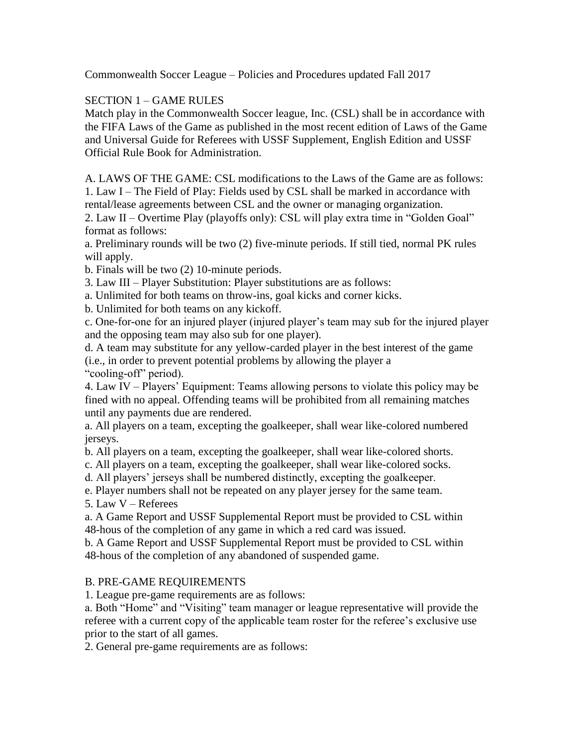Commonwealth Soccer League – Policies and Procedures updated Fall 2017

## SECTION 1 – GAME RULES

Match play in the Commonwealth Soccer league, Inc. (CSL) shall be in accordance with the FIFA Laws of the Game as published in the most recent edition of Laws of the Game and Universal Guide for Referees with USSF Supplement, English Edition and USSF Official Rule Book for Administration.

A. LAWS OF THE GAME: CSL modifications to the Laws of the Game are as follows: 1. Law I – The Field of Play: Fields used by CSL shall be marked in accordance with rental/lease agreements between CSL and the owner or managing organization.

2. Law II – Overtime Play (playoffs only): CSL will play extra time in "Golden Goal" format as follows:

a. Preliminary rounds will be two (2) five-minute periods. If still tied, normal PK rules will apply.

b. Finals will be two (2) 10-minute periods.

3. Law III – Player Substitution: Player substitutions are as follows:

a. Unlimited for both teams on throw-ins, goal kicks and corner kicks.

b. Unlimited for both teams on any kickoff.

c. One-for-one for an injured player (injured player's team may sub for the injured player and the opposing team may also sub for one player).

d. A team may substitute for any yellow-carded player in the best interest of the game (i.e., in order to prevent potential problems by allowing the player a "cooling-off" period).

4. Law IV – Players' Equipment: Teams allowing persons to violate this policy may be fined with no appeal. Offending teams will be prohibited from all remaining matches until any payments due are rendered.

a. All players on a team, excepting the goalkeeper, shall wear like-colored numbered jerseys.

b. All players on a team, excepting the goalkeeper, shall wear like-colored shorts.

c. All players on a team, excepting the goalkeeper, shall wear like-colored socks.

d. All players' jerseys shall be numbered distinctly, excepting the goalkeeper.

e. Player numbers shall not be repeated on any player jersey for the same team.

5. Law V – Referees

a. A Game Report and USSF Supplemental Report must be provided to CSL within 48-hous of the completion of any game in which a red card was issued.

b. A Game Report and USSF Supplemental Report must be provided to CSL within 48-hous of the completion of any abandoned of suspended game.

## B. PRE-GAME REQUIREMENTS

1. League pre-game requirements are as follows:

a. Both "Home" and "Visiting" team manager or league representative will provide the referee with a current copy of the applicable team roster for the referee's exclusive use prior to the start of all games.

2. General pre-game requirements are as follows: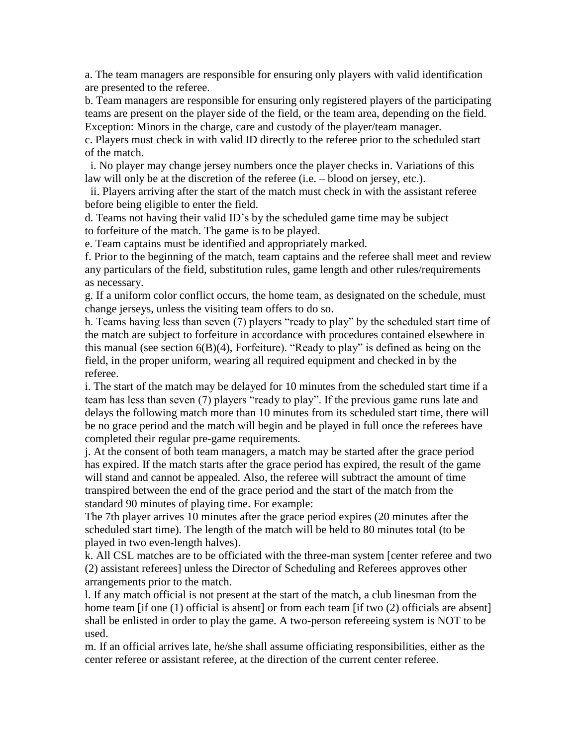a. The team managers are responsible for ensuring only players with valid identification are presented to the referee.

b. Team managers are responsible for ensuring only registered players of the participating teams are present on the player side of the field, or the team area, depending on the field. Exception: Minors in the charge, care and custody of the player/team manager.

c. Players must check in with valid ID directly to the referee prior to the scheduled start of the match.

 i. No player may change jersey numbers once the player checks in. Variations of this law will only be at the discretion of the referee (i.e. – blood on jersey, etc.).

 ii. Players arriving after the start of the match must check in with the assistant referee before being eligible to enter the field.

d. Teams not having their valid ID's by the scheduled game time may be subject to forfeiture of the match. The game is to be played.

e. Team captains must be identified and appropriately marked.

f. Prior to the beginning of the match, team captains and the referee shall meet and review any particulars of the field, substitution rules, game length and other rules/requirements as necessary.

g. If a uniform color conflict occurs, the home team, as designated on the schedule, must change jerseys, unless the visiting team offers to do so.

h. Teams having less than seven (7) players "ready to play" by the scheduled start time of the match are subject to forfeiture in accordance with procedures contained elsewhere in this manual (see section 6(B)(4), Forfeiture). "Ready to play" is defined as being on the field, in the proper uniform, wearing all required equipment and checked in by the referee.

i. The start of the match may be delayed for 10 minutes from the scheduled start time if a team has less than seven (7) players "ready to play". If the previous game runs late and delays the following match more than 10 minutes from its scheduled start time, there will be no grace period and the match will begin and be played in full once the referees have completed their regular pre-game requirements.

j. At the consent of both team managers, a match may be started after the grace period has expired. If the match starts after the grace period has expired, the result of the game will stand and cannot be appealed. Also, the referee will subtract the amount of time transpired between the end of the grace period and the start of the match from the standard 90 minutes of playing time. For example:

The 7th player arrives 10 minutes after the grace period expires (20 minutes after the scheduled start time). The length of the match will be held to 80 minutes total (to be played in two even-length halves).

k. All CSL matches are to be officiated with the three-man system [center referee and two (2) assistant referees] unless the Director of Scheduling and Referees approves other arrangements prior to the match.

l. If any match official is not present at the start of the match, a club linesman from the home team [if one (1) official is absent] or from each team [if two (2) officials are absent] shall be enlisted in order to play the game. A two-person refereeing system is NOT to be used.

m. If an official arrives late, he/she shall assume officiating responsibilities, either as the center referee or assistant referee, at the direction of the current center referee.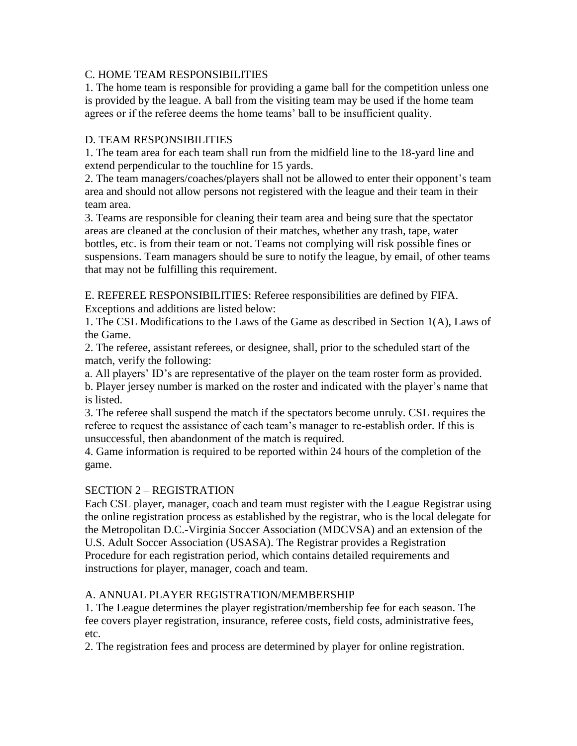## C. HOME TEAM RESPONSIBILITIES

1. The home team is responsible for providing a game ball for the competition unless one is provided by the league. A ball from the visiting team may be used if the home team agrees or if the referee deems the home teams' ball to be insufficient quality.

### D. TEAM RESPONSIBILITIES

1. The team area for each team shall run from the midfield line to the 18-yard line and extend perpendicular to the touchline for 15 yards.

2. The team managers/coaches/players shall not be allowed to enter their opponent's team area and should not allow persons not registered with the league and their team in their team area.

3. Teams are responsible for cleaning their team area and being sure that the spectator areas are cleaned at the conclusion of their matches, whether any trash, tape, water bottles, etc. is from their team or not. Teams not complying will risk possible fines or suspensions. Team managers should be sure to notify the league, by email, of other teams that may not be fulfilling this requirement.

E. REFEREE RESPONSIBILITIES: Referee responsibilities are defined by FIFA. Exceptions and additions are listed below:

1. The CSL Modifications to the Laws of the Game as described in Section 1(A), Laws of the Game.

2. The referee, assistant referees, or designee, shall, prior to the scheduled start of the match, verify the following:

a. All players' ID's are representative of the player on the team roster form as provided. b. Player jersey number is marked on the roster and indicated with the player's name that is listed.

3. The referee shall suspend the match if the spectators become unruly. CSL requires the referee to request the assistance of each team's manager to re-establish order. If this is unsuccessful, then abandonment of the match is required.

4. Game information is required to be reported within 24 hours of the completion of the game.

## SECTION 2 – REGISTRATION

Each CSL player, manager, coach and team must register with the League Registrar using the online registration process as established by the registrar, who is the local delegate for the Metropolitan D.C.-Virginia Soccer Association (MDCVSA) and an extension of the U.S. Adult Soccer Association (USASA). The Registrar provides a Registration Procedure for each registration period, which contains detailed requirements and instructions for player, manager, coach and team.

#### A. ANNUAL PLAYER REGISTRATION/MEMBERSHIP

1. The League determines the player registration/membership fee for each season. The fee covers player registration, insurance, referee costs, field costs, administrative fees, etc.

2. The registration fees and process are determined by player for online registration.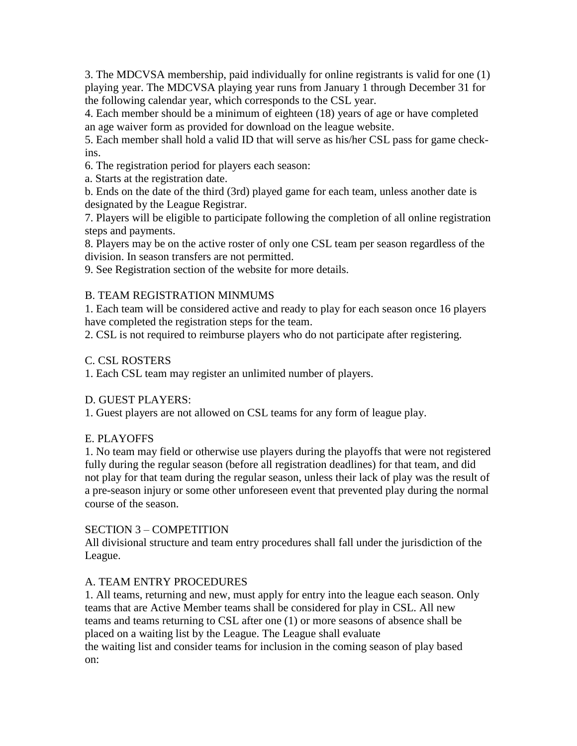3. The MDCVSA membership, paid individually for online registrants is valid for one (1) playing year. The MDCVSA playing year runs from January 1 through December 31 for the following calendar year, which corresponds to the CSL year.

4. Each member should be a minimum of eighteen (18) years of age or have completed an age waiver form as provided for download on the league website.

5. Each member shall hold a valid ID that will serve as his/her CSL pass for game checkins.

6. The registration period for players each season:

a. Starts at the registration date.

b. Ends on the date of the third (3rd) played game for each team, unless another date is designated by the League Registrar.

7. Players will be eligible to participate following the completion of all online registration steps and payments.

8. Players may be on the active roster of only one CSL team per season regardless of the division. In season transfers are not permitted.

9. See Registration section of the website for more details.

## B. TEAM REGISTRATION MINMUMS

1. Each team will be considered active and ready to play for each season once 16 players have completed the registration steps for the team.

2. CSL is not required to reimburse players who do not participate after registering.

## C. CSL ROSTERS

1. Each CSL team may register an unlimited number of players.

## D. GUEST PLAYERS:

1. Guest players are not allowed on CSL teams for any form of league play.

# E. PLAYOFFS

1. No team may field or otherwise use players during the playoffs that were not registered fully during the regular season (before all registration deadlines) for that team, and did not play for that team during the regular season, unless their lack of play was the result of a pre-season injury or some other unforeseen event that prevented play during the normal course of the season.

## SECTION 3 – COMPETITION

All divisional structure and team entry procedures shall fall under the jurisdiction of the League.

# A. TEAM ENTRY PROCEDURES

1. All teams, returning and new, must apply for entry into the league each season. Only teams that are Active Member teams shall be considered for play in CSL. All new teams and teams returning to CSL after one (1) or more seasons of absence shall be placed on a waiting list by the League. The League shall evaluate the waiting list and consider teams for inclusion in the coming season of play based on: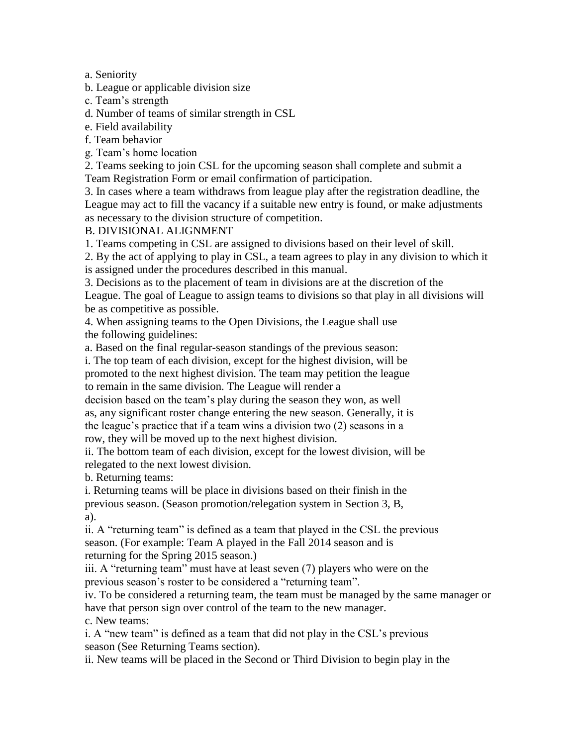a. Seniority

b. League or applicable division size

c. Team's strength

d. Number of teams of similar strength in CSL

e. Field availability

f. Team behavior

g. Team's home location

2. Teams seeking to join CSL for the upcoming season shall complete and submit a Team Registration Form or email confirmation of participation.

3. In cases where a team withdraws from league play after the registration deadline, the League may act to fill the vacancy if a suitable new entry is found, or make adjustments as necessary to the division structure of competition.

### B. DIVISIONAL ALIGNMENT

1. Teams competing in CSL are assigned to divisions based on their level of skill.

2. By the act of applying to play in CSL, a team agrees to play in any division to which it is assigned under the procedures described in this manual.

3. Decisions as to the placement of team in divisions are at the discretion of the League. The goal of League to assign teams to divisions so that play in all divisions will be as competitive as possible.

4. When assigning teams to the Open Divisions, the League shall use the following guidelines:

a. Based on the final regular-season standings of the previous season:

i. The top team of each division, except for the highest division, will be promoted to the next highest division. The team may petition the league to remain in the same division. The League will render a

decision based on the team's play during the season they won, as well as, any significant roster change entering the new season. Generally, it is the league's practice that if a team wins a division two (2) seasons in a row, they will be moved up to the next highest division.

ii. The bottom team of each division, except for the lowest division, will be relegated to the next lowest division.

b. Returning teams:

i. Returning teams will be place in divisions based on their finish in the previous season. (Season promotion/relegation system in Section 3, B, a).

ii. A "returning team" is defined as a team that played in the CSL the previous season. (For example: Team A played in the Fall 2014 season and is returning for the Spring 2015 season.)

iii. A "returning team" must have at least seven (7) players who were on the previous season's roster to be considered a "returning team".

iv. To be considered a returning team, the team must be managed by the same manager or have that person sign over control of the team to the new manager.

c. New teams:

i. A "new team" is defined as a team that did not play in the CSL's previous season (See Returning Teams section).

ii. New teams will be placed in the Second or Third Division to begin play in the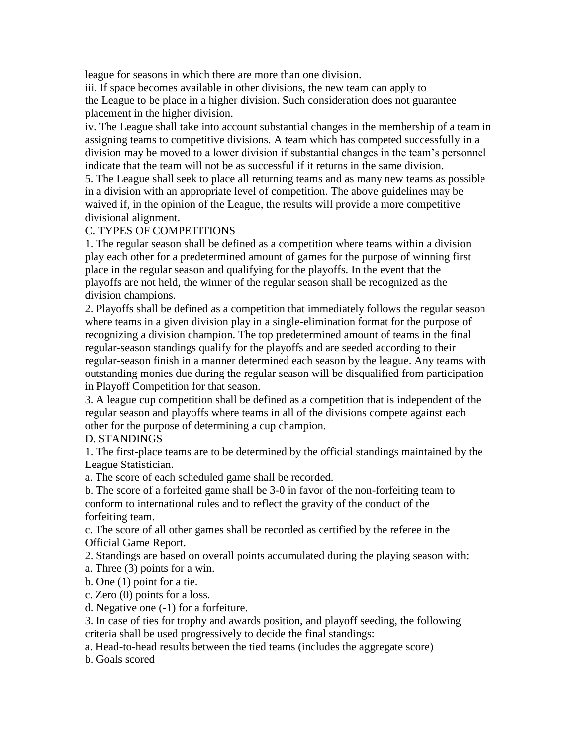league for seasons in which there are more than one division.

iii. If space becomes available in other divisions, the new team can apply to the League to be place in a higher division. Such consideration does not guarantee placement in the higher division.

iv. The League shall take into account substantial changes in the membership of a team in assigning teams to competitive divisions. A team which has competed successfully in a division may be moved to a lower division if substantial changes in the team's personnel indicate that the team will not be as successful if it returns in the same division.

5. The League shall seek to place all returning teams and as many new teams as possible in a division with an appropriate level of competition. The above guidelines may be waived if, in the opinion of the League, the results will provide a more competitive divisional alignment.

## C. TYPES OF COMPETITIONS

1. The regular season shall be defined as a competition where teams within a division play each other for a predetermined amount of games for the purpose of winning first place in the regular season and qualifying for the playoffs. In the event that the playoffs are not held, the winner of the regular season shall be recognized as the division champions.

2. Playoffs shall be defined as a competition that immediately follows the regular season where teams in a given division play in a single-elimination format for the purpose of recognizing a division champion. The top predetermined amount of teams in the final regular-season standings qualify for the playoffs and are seeded according to their regular-season finish in a manner determined each season by the league. Any teams with outstanding monies due during the regular season will be disqualified from participation in Playoff Competition for that season.

3. A league cup competition shall be defined as a competition that is independent of the regular season and playoffs where teams in all of the divisions compete against each other for the purpose of determining a cup champion.

D. STANDINGS

1. The first-place teams are to be determined by the official standings maintained by the League Statistician.

a. The score of each scheduled game shall be recorded.

b. The score of a forfeited game shall be 3-0 in favor of the non-forfeiting team to conform to international rules and to reflect the gravity of the conduct of the forfeiting team.

c. The score of all other games shall be recorded as certified by the referee in the Official Game Report.

2. Standings are based on overall points accumulated during the playing season with:

a. Three (3) points for a win.

b. One (1) point for a tie.

c. Zero (0) points for a loss.

d. Negative one (-1) for a forfeiture.

3. In case of ties for trophy and awards position, and playoff seeding, the following criteria shall be used progressively to decide the final standings:

a. Head-to-head results between the tied teams (includes the aggregate score)

b. Goals scored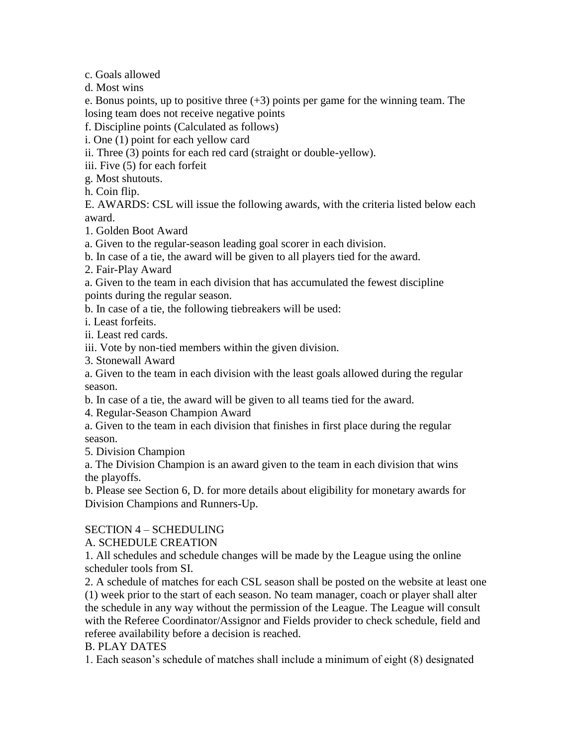c. Goals allowed

d. Most wins

e. Bonus points, up to positive three  $(+3)$  points per game for the winning team. The losing team does not receive negative points

f. Discipline points (Calculated as follows)

i. One (1) point for each yellow card

ii. Three (3) points for each red card (straight or double-yellow).

iii. Five (5) for each forfeit

g. Most shutouts.

h. Coin flip.

E. AWARDS: CSL will issue the following awards, with the criteria listed below each award.

1. Golden Boot Award

a. Given to the regular-season leading goal scorer in each division.

b. In case of a tie, the award will be given to all players tied for the award.

2. Fair-Play Award

a. Given to the team in each division that has accumulated the fewest discipline points during the regular season.

b. In case of a tie, the following tiebreakers will be used:

i. Least forfeits.

ii. Least red cards.

iii. Vote by non-tied members within the given division.

3. Stonewall Award

a. Given to the team in each division with the least goals allowed during the regular season.

b. In case of a tie, the award will be given to all teams tied for the award.

4. Regular-Season Champion Award

a. Given to the team in each division that finishes in first place during the regular season.

5. Division Champion

a. The Division Champion is an award given to the team in each division that wins the playoffs.

b. Please see Section 6, D. for more details about eligibility for monetary awards for Division Champions and Runners-Up.

## SECTION 4 – SCHEDULING

## A. SCHEDULE CREATION

1. All schedules and schedule changes will be made by the League using the online scheduler tools from SI.

2. A schedule of matches for each CSL season shall be posted on the website at least one (1) week prior to the start of each season. No team manager, coach or player shall alter the schedule in any way without the permission of the League. The League will consult with the Referee Coordinator/Assignor and Fields provider to check schedule, field and referee availability before a decision is reached.

## B. PLAY DATES

1. Each season's schedule of matches shall include a minimum of eight (8) designated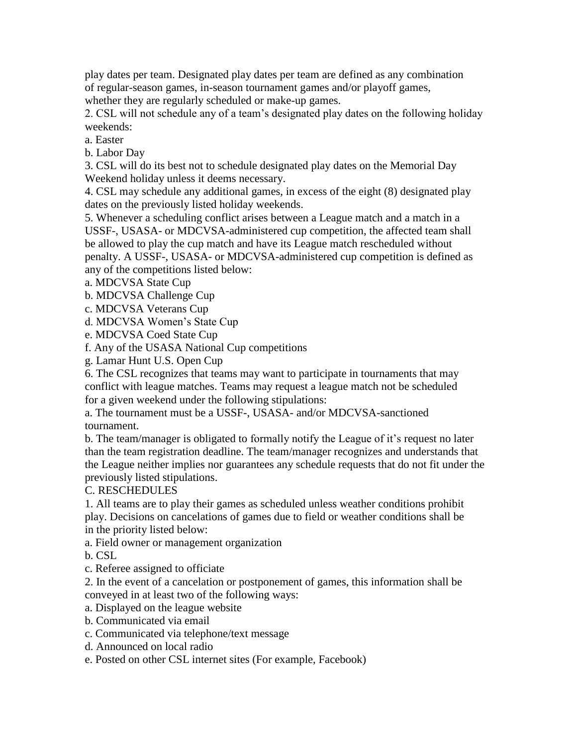play dates per team. Designated play dates per team are defined as any combination of regular-season games, in-season tournament games and/or playoff games,

whether they are regularly scheduled or make-up games.

2. CSL will not schedule any of a team's designated play dates on the following holiday weekends:

a. Easter

b. Labor Day

3. CSL will do its best not to schedule designated play dates on the Memorial Day Weekend holiday unless it deems necessary.

4. CSL may schedule any additional games, in excess of the eight (8) designated play dates on the previously listed holiday weekends.

5. Whenever a scheduling conflict arises between a League match and a match in a USSF-, USASA- or MDCVSA-administered cup competition, the affected team shall be allowed to play the cup match and have its League match rescheduled without penalty. A USSF-, USASA- or MDCVSA-administered cup competition is defined as any of the competitions listed below:

a. MDCVSA State Cup

b. MDCVSA Challenge Cup

c. MDCVSA Veterans Cup

d. MDCVSA Women's State Cup

e. MDCVSA Coed State Cup

f. Any of the USASA National Cup competitions

g. Lamar Hunt U.S. Open Cup

6. The CSL recognizes that teams may want to participate in tournaments that may conflict with league matches. Teams may request a league match not be scheduled for a given weekend under the following stipulations:

a. The tournament must be a USSF-, USASA- and/or MDCVSA-sanctioned tournament.

b. The team/manager is obligated to formally notify the League of it's request no later than the team registration deadline. The team/manager recognizes and understands that the League neither implies nor guarantees any schedule requests that do not fit under the previously listed stipulations.

C. RESCHEDULES

1. All teams are to play their games as scheduled unless weather conditions prohibit play. Decisions on cancelations of games due to field or weather conditions shall be in the priority listed below:

a. Field owner or management organization

b. CSL

c. Referee assigned to officiate

2. In the event of a cancelation or postponement of games, this information shall be conveyed in at least two of the following ways:

a. Displayed on the league website

- b. Communicated via email
- c. Communicated via telephone/text message
- d. Announced on local radio

e. Posted on other CSL internet sites (For example, Facebook)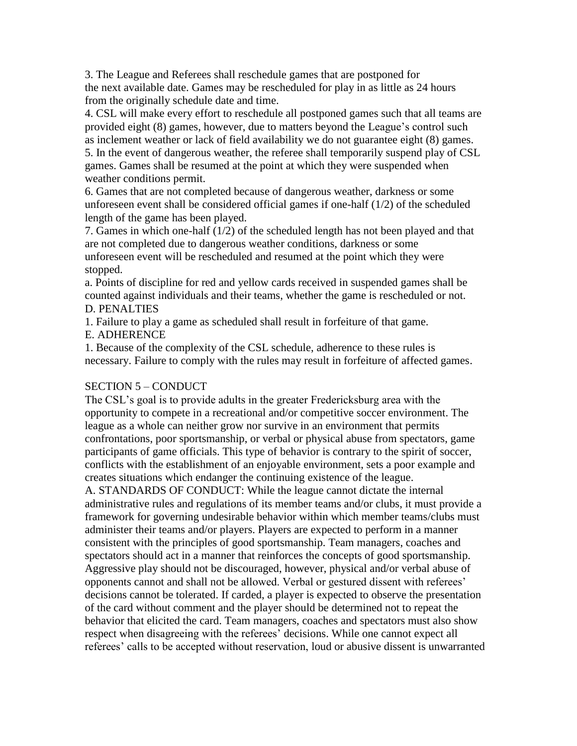3. The League and Referees shall reschedule games that are postponed for the next available date. Games may be rescheduled for play in as little as 24 hours from the originally schedule date and time.

4. CSL will make every effort to reschedule all postponed games such that all teams are provided eight (8) games, however, due to matters beyond the League's control such as inclement weather or lack of field availability we do not guarantee eight (8) games. 5. In the event of dangerous weather, the referee shall temporarily suspend play of CSL

games. Games shall be resumed at the point at which they were suspended when weather conditions permit.

6. Games that are not completed because of dangerous weather, darkness or some unforeseen event shall be considered official games if one-half (1/2) of the scheduled length of the game has been played.

7. Games in which one-half (1/2) of the scheduled length has not been played and that are not completed due to dangerous weather conditions, darkness or some unforeseen event will be rescheduled and resumed at the point which they were stopped.

a. Points of discipline for red and yellow cards received in suspended games shall be counted against individuals and their teams, whether the game is rescheduled or not. D. PENALTIES

1. Failure to play a game as scheduled shall result in forfeiture of that game.

E. ADHERENCE

1. Because of the complexity of the CSL schedule, adherence to these rules is necessary. Failure to comply with the rules may result in forfeiture of affected games.

#### SECTION 5 – CONDUCT

The CSL's goal is to provide adults in the greater Fredericksburg area with the opportunity to compete in a recreational and/or competitive soccer environment. The league as a whole can neither grow nor survive in an environment that permits confrontations, poor sportsmanship, or verbal or physical abuse from spectators, game participants of game officials. This type of behavior is contrary to the spirit of soccer, conflicts with the establishment of an enjoyable environment, sets a poor example and creates situations which endanger the continuing existence of the league.

A. STANDARDS OF CONDUCT: While the league cannot dictate the internal administrative rules and regulations of its member teams and/or clubs, it must provide a framework for governing undesirable behavior within which member teams/clubs must administer their teams and/or players. Players are expected to perform in a manner consistent with the principles of good sportsmanship. Team managers, coaches and spectators should act in a manner that reinforces the concepts of good sportsmanship. Aggressive play should not be discouraged, however, physical and/or verbal abuse of opponents cannot and shall not be allowed. Verbal or gestured dissent with referees' decisions cannot be tolerated. If carded, a player is expected to observe the presentation of the card without comment and the player should be determined not to repeat the behavior that elicited the card. Team managers, coaches and spectators must also show respect when disagreeing with the referees' decisions. While one cannot expect all referees' calls to be accepted without reservation, loud or abusive dissent is unwarranted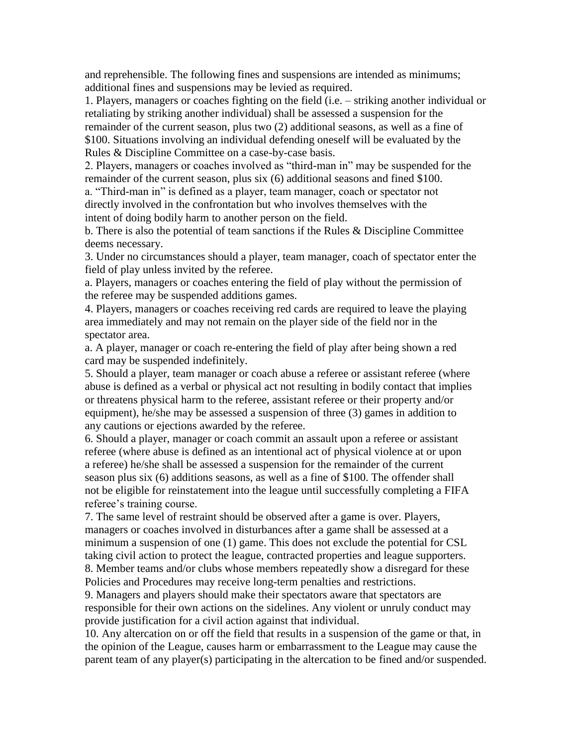and reprehensible. The following fines and suspensions are intended as minimums; additional fines and suspensions may be levied as required.

1. Players, managers or coaches fighting on the field (i.e. – striking another individual or retaliating by striking another individual) shall be assessed a suspension for the remainder of the current season, plus two (2) additional seasons, as well as a fine of \$100. Situations involving an individual defending oneself will be evaluated by the Rules & Discipline Committee on a case-by-case basis.

2. Players, managers or coaches involved as "third-man in" may be suspended for the remainder of the current season, plus six (6) additional seasons and fined \$100.

a. "Third-man in" is defined as a player, team manager, coach or spectator not directly involved in the confrontation but who involves themselves with the intent of doing bodily harm to another person on the field.

b. There is also the potential of team sanctions if the Rules  $\&$  Discipline Committee deems necessary.

3. Under no circumstances should a player, team manager, coach of spectator enter the field of play unless invited by the referee.

a. Players, managers or coaches entering the field of play without the permission of the referee may be suspended additions games.

4. Players, managers or coaches receiving red cards are required to leave the playing area immediately and may not remain on the player side of the field nor in the spectator area.

a. A player, manager or coach re-entering the field of play after being shown a red card may be suspended indefinitely.

5. Should a player, team manager or coach abuse a referee or assistant referee (where abuse is defined as a verbal or physical act not resulting in bodily contact that implies or threatens physical harm to the referee, assistant referee or their property and/or equipment), he/she may be assessed a suspension of three (3) games in addition to any cautions or ejections awarded by the referee.

6. Should a player, manager or coach commit an assault upon a referee or assistant referee (where abuse is defined as an intentional act of physical violence at or upon a referee) he/she shall be assessed a suspension for the remainder of the current season plus six (6) additions seasons, as well as a fine of \$100. The offender shall not be eligible for reinstatement into the league until successfully completing a FIFA referee's training course.

7. The same level of restraint should be observed after a game is over. Players, managers or coaches involved in disturbances after a game shall be assessed at a minimum a suspension of one (1) game. This does not exclude the potential for CSL taking civil action to protect the league, contracted properties and league supporters. 8. Member teams and/or clubs whose members repeatedly show a disregard for these Policies and Procedures may receive long-term penalties and restrictions.

9. Managers and players should make their spectators aware that spectators are responsible for their own actions on the sidelines. Any violent or unruly conduct may provide justification for a civil action against that individual.

10. Any altercation on or off the field that results in a suspension of the game or that, in the opinion of the League, causes harm or embarrassment to the League may cause the parent team of any player(s) participating in the altercation to be fined and/or suspended.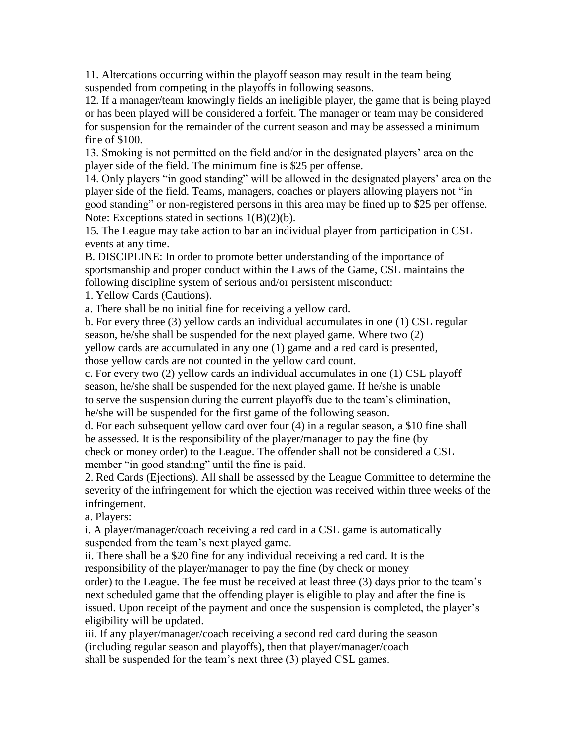11. Altercations occurring within the playoff season may result in the team being suspended from competing in the playoffs in following seasons.

12. If a manager/team knowingly fields an ineligible player, the game that is being played or has been played will be considered a forfeit. The manager or team may be considered for suspension for the remainder of the current season and may be assessed a minimum fine of \$100.

13. Smoking is not permitted on the field and/or in the designated players' area on the player side of the field. The minimum fine is \$25 per offense.

14. Only players "in good standing" will be allowed in the designated players' area on the player side of the field. Teams, managers, coaches or players allowing players not "in good standing" or non-registered persons in this area may be fined up to \$25 per offense. Note: Exceptions stated in sections 1(B)(2)(b).

15. The League may take action to bar an individual player from participation in CSL events at any time.

B. DISCIPLINE: In order to promote better understanding of the importance of sportsmanship and proper conduct within the Laws of the Game, CSL maintains the following discipline system of serious and/or persistent misconduct:

1. Yellow Cards (Cautions).

a. There shall be no initial fine for receiving a yellow card.

b. For every three (3) yellow cards an individual accumulates in one (1) CSL regular season, he/she shall be suspended for the next played game. Where two (2) yellow cards are accumulated in any one (1) game and a red card is presented, those yellow cards are not counted in the yellow card count.

c. For every two (2) yellow cards an individual accumulates in one (1) CSL playoff season, he/she shall be suspended for the next played game. If he/she is unable to serve the suspension during the current playoffs due to the team's elimination, he/she will be suspended for the first game of the following season.

d. For each subsequent yellow card over four (4) in a regular season, a \$10 fine shall be assessed. It is the responsibility of the player/manager to pay the fine (by check or money order) to the League. The offender shall not be considered a CSL member "in good standing" until the fine is paid.

2. Red Cards (Ejections). All shall be assessed by the League Committee to determine the severity of the infringement for which the ejection was received within three weeks of the infringement.

a. Players:

i. A player/manager/coach receiving a red card in a CSL game is automatically suspended from the team's next played game.

ii. There shall be a \$20 fine for any individual receiving a red card. It is the responsibility of the player/manager to pay the fine (by check or money order) to the League. The fee must be received at least three (3) days prior to the team's next scheduled game that the offending player is eligible to play and after the fine is issued. Upon receipt of the payment and once the suspension is completed, the player's eligibility will be updated.

iii. If any player/manager/coach receiving a second red card during the season (including regular season and playoffs), then that player/manager/coach shall be suspended for the team's next three (3) played CSL games.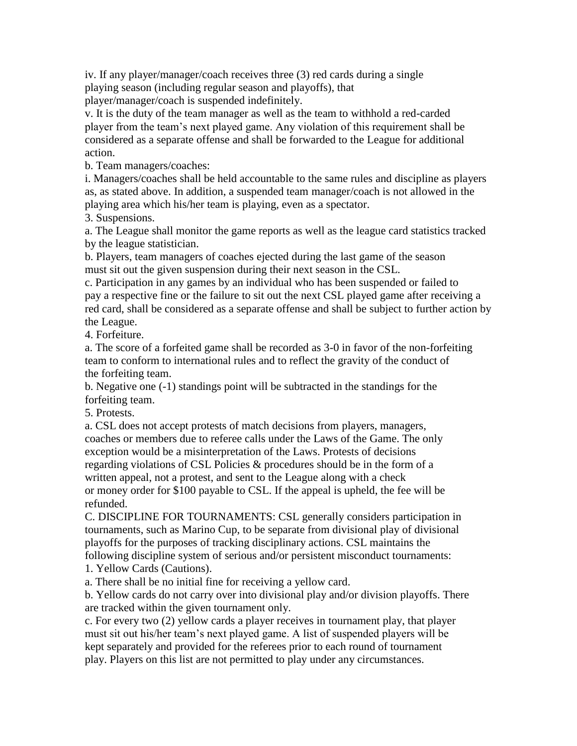iv. If any player/manager/coach receives three (3) red cards during a single playing season (including regular season and playoffs), that player/manager/coach is suspended indefinitely.

v. It is the duty of the team manager as well as the team to withhold a red-carded player from the team's next played game. Any violation of this requirement shall be considered as a separate offense and shall be forwarded to the League for additional action.

b. Team managers/coaches:

i. Managers/coaches shall be held accountable to the same rules and discipline as players as, as stated above. In addition, a suspended team manager/coach is not allowed in the playing area which his/her team is playing, even as a spectator.

3. Suspensions.

a. The League shall monitor the game reports as well as the league card statistics tracked by the league statistician.

b. Players, team managers of coaches ejected during the last game of the season must sit out the given suspension during their next season in the CSL.

c. Participation in any games by an individual who has been suspended or failed to pay a respective fine or the failure to sit out the next CSL played game after receiving a red card, shall be considered as a separate offense and shall be subject to further action by the League.

4. Forfeiture.

a. The score of a forfeited game shall be recorded as 3-0 in favor of the non-forfeiting team to conform to international rules and to reflect the gravity of the conduct of the forfeiting team.

b. Negative one (-1) standings point will be subtracted in the standings for the forfeiting team.

5. Protests.

a. CSL does not accept protests of match decisions from players, managers, coaches or members due to referee calls under the Laws of the Game. The only exception would be a misinterpretation of the Laws. Protests of decisions regarding violations of CSL Policies & procedures should be in the form of a written appeal, not a protest, and sent to the League along with a check or money order for \$100 payable to CSL. If the appeal is upheld, the fee will be refunded.

C. DISCIPLINE FOR TOURNAMENTS: CSL generally considers participation in tournaments, such as Marino Cup, to be separate from divisional play of divisional playoffs for the purposes of tracking disciplinary actions. CSL maintains the following discipline system of serious and/or persistent misconduct tournaments:

1. Yellow Cards (Cautions).

a. There shall be no initial fine for receiving a yellow card.

b. Yellow cards do not carry over into divisional play and/or division playoffs. There are tracked within the given tournament only.

c. For every two (2) yellow cards a player receives in tournament play, that player must sit out his/her team's next played game. A list of suspended players will be kept separately and provided for the referees prior to each round of tournament play. Players on this list are not permitted to play under any circumstances.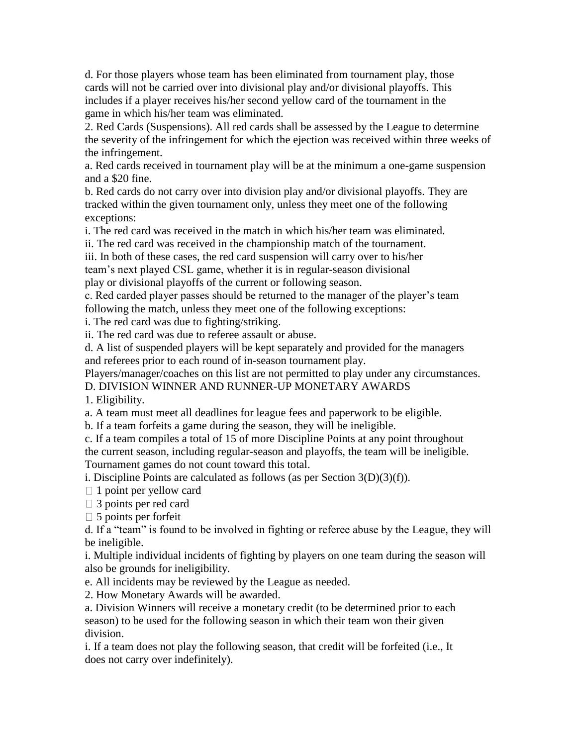d. For those players whose team has been eliminated from tournament play, those cards will not be carried over into divisional play and/or divisional playoffs. This includes if a player receives his/her second yellow card of the tournament in the game in which his/her team was eliminated.

2. Red Cards (Suspensions). All red cards shall be assessed by the League to determine the severity of the infringement for which the ejection was received within three weeks of the infringement.

a. Red cards received in tournament play will be at the minimum a one-game suspension and a \$20 fine.

b. Red cards do not carry over into division play and/or divisional playoffs. They are tracked within the given tournament only, unless they meet one of the following exceptions:

i. The red card was received in the match in which his/her team was eliminated. ii. The red card was received in the championship match of the tournament.

iii. In both of these cases, the red card suspension will carry over to his/her team's next played CSL game, whether it is in regular-season divisional play or divisional playoffs of the current or following season.

c. Red carded player passes should be returned to the manager of the player's team following the match, unless they meet one of the following exceptions:

i. The red card was due to fighting/striking.

ii. The red card was due to referee assault or abuse.

d. A list of suspended players will be kept separately and provided for the managers and referees prior to each round of in-season tournament play.

Players/manager/coaches on this list are not permitted to play under any circumstances.

D. DIVISION WINNER AND RUNNER-UP MONETARY AWARDS

1. Eligibility.

a. A team must meet all deadlines for league fees and paperwork to be eligible.

b. If a team forfeits a game during the season, they will be ineligible.

c. If a team compiles a total of 15 of more Discipline Points at any point throughout the current season, including regular-season and playoffs, the team will be ineligible.

Tournament games do not count toward this total.

i. Discipline Points are calculated as follows (as per Section 3(D)(3)(f)).

 $\Box$  1 point per yellow card

□ 3 points per red card

 $\Box$  5 points per forfeit

d. If a "team" is found to be involved in fighting or referee abuse by the League, they will be ineligible.

i. Multiple individual incidents of fighting by players on one team during the season will also be grounds for ineligibility.

e. All incidents may be reviewed by the League as needed.

2. How Monetary Awards will be awarded.

a. Division Winners will receive a monetary credit (to be determined prior to each season) to be used for the following season in which their team won their given division.

i. If a team does not play the following season, that credit will be forfeited (i.e., It does not carry over indefinitely).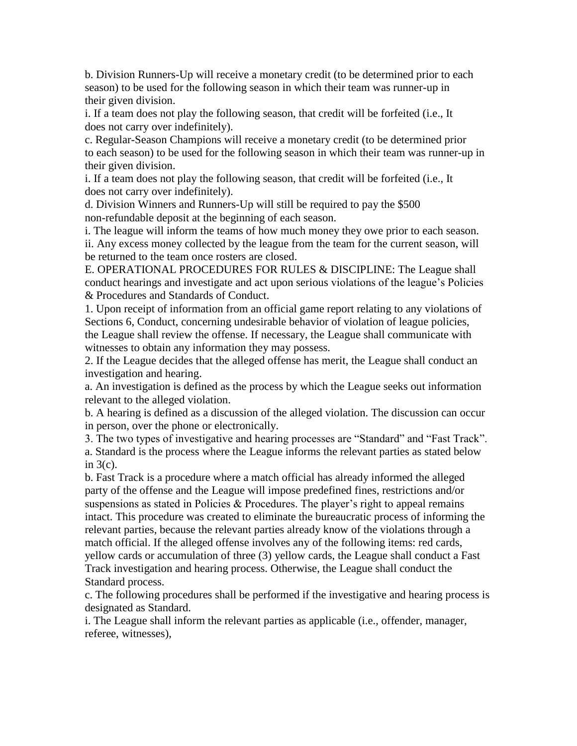b. Division Runners-Up will receive a monetary credit (to be determined prior to each season) to be used for the following season in which their team was runner-up in their given division.

i. If a team does not play the following season, that credit will be forfeited (i.e., It does not carry over indefinitely).

c. Regular-Season Champions will receive a monetary credit (to be determined prior to each season) to be used for the following season in which their team was runner-up in their given division.

i. If a team does not play the following season, that credit will be forfeited (i.e., It does not carry over indefinitely).

d. Division Winners and Runners-Up will still be required to pay the \$500 non-refundable deposit at the beginning of each season.

i. The league will inform the teams of how much money they owe prior to each season. ii. Any excess money collected by the league from the team for the current season, will be returned to the team once rosters are closed.

E. OPERATIONAL PROCEDURES FOR RULES & DISCIPLINE: The League shall conduct hearings and investigate and act upon serious violations of the league's Policies & Procedures and Standards of Conduct.

1. Upon receipt of information from an official game report relating to any violations of Sections 6, Conduct, concerning undesirable behavior of violation of league policies, the League shall review the offense. If necessary, the League shall communicate with witnesses to obtain any information they may possess.

2. If the League decides that the alleged offense has merit, the League shall conduct an investigation and hearing.

a. An investigation is defined as the process by which the League seeks out information relevant to the alleged violation.

b. A hearing is defined as a discussion of the alleged violation. The discussion can occur in person, over the phone or electronically.

3. The two types of investigative and hearing processes are "Standard" and "Fast Track". a. Standard is the process where the League informs the relevant parties as stated below in 3(c).

b. Fast Track is a procedure where a match official has already informed the alleged party of the offense and the League will impose predefined fines, restrictions and/or suspensions as stated in Policies & Procedures. The player's right to appeal remains intact. This procedure was created to eliminate the bureaucratic process of informing the relevant parties, because the relevant parties already know of the violations through a match official. If the alleged offense involves any of the following items: red cards, yellow cards or accumulation of three (3) yellow cards, the League shall conduct a Fast Track investigation and hearing process. Otherwise, the League shall conduct the Standard process.

c. The following procedures shall be performed if the investigative and hearing process is designated as Standard.

i. The League shall inform the relevant parties as applicable (i.e., offender, manager, referee, witnesses),